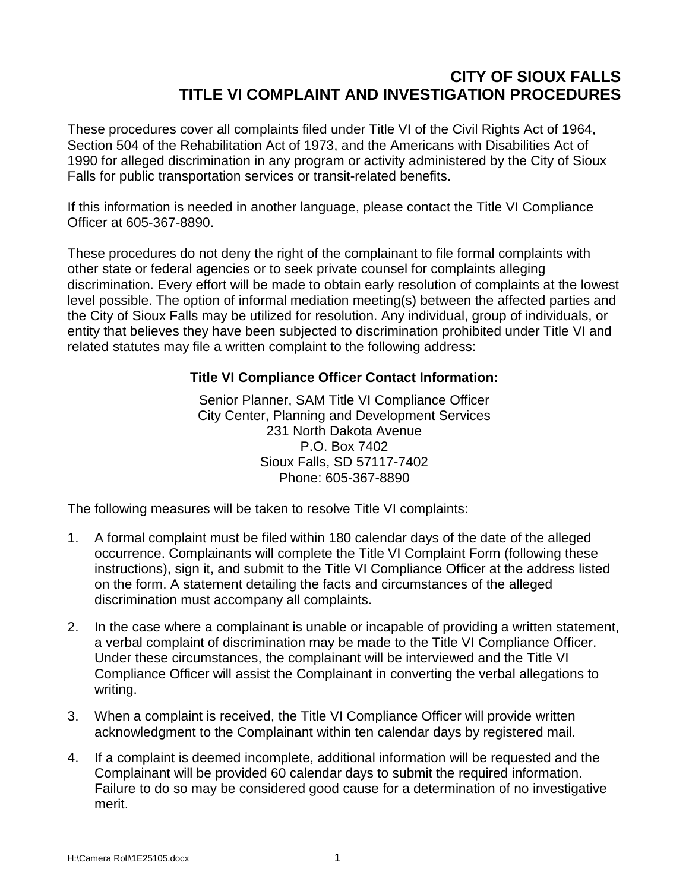## **CITY OF SIOUX FALLS TITLE VI COMPLAINT AND INVESTIGATION PROCEDURES**

These procedures cover all complaints filed under Title VI of the Civil Rights Act of 1964, Section 504 of the Rehabilitation Act of 1973, and the Americans with Disabilities Act of 1990 for alleged discrimination in any program or activity administered by the City of Sioux Falls for public transportation services or transit-related benefits.

If this information is needed in another language, please contact the Title VI Compliance Officer at 605-367-8890.

These procedures do not deny the right of the complainant to file formal complaints with other state or federal agencies or to seek private counsel for complaints alleging discrimination. Every effort will be made to obtain early resolution of complaints at the lowest level possible. The option of informal mediation meeting(s) between the affected parties and the City of Sioux Falls may be utilized for resolution. Any individual, group of individuals, or entity that believes they have been subjected to discrimination prohibited under Title VI and related statutes may file a written complaint to the following address:

## **Title VI Compliance Officer Contact Information:**

Senior Planner, SAM Title VI Compliance Officer City Center, Planning and Development Services 231 North Dakota Avenue P.O. Box 7402 Sioux Falls, SD 57117-7402 Phone: 605-367-8890

The following measures will be taken to resolve Title VI complaints:

- 1. A formal complaint must be filed within 180 calendar days of the date of the alleged occurrence. Complainants will complete the Title VI Complaint Form (following these instructions), sign it, and submit to the Title VI Compliance Officer at the address listed on the form. A statement detailing the facts and circumstances of the alleged discrimination must accompany all complaints.
- 2. In the case where a complainant is unable or incapable of providing a written statement, a verbal complaint of discrimination may be made to the Title VI Compliance Officer. Under these circumstances, the complainant will be interviewed and the Title VI Compliance Officer will assist the Complainant in converting the verbal allegations to writing.
- 3. When a complaint is received, the Title VI Compliance Officer will provide written acknowledgment to the Complainant within ten calendar days by registered mail.
- 4. If a complaint is deemed incomplete, additional information will be requested and the Complainant will be provided 60 calendar days to submit the required information. Failure to do so may be considered good cause for a determination of no investigative merit.